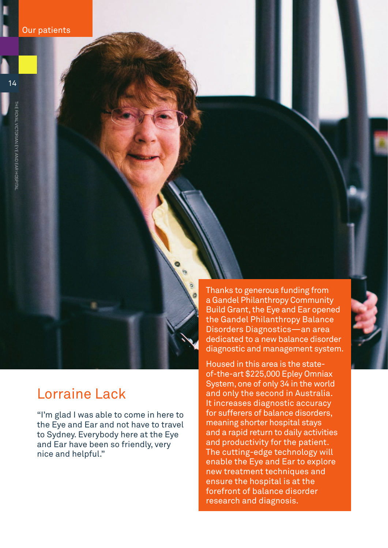# Lorraine Lack

"I'm glad I was able to come in here to the Eye and Ear and not have to travel to Sydney. Everybody here at the Eye and Ear have been so friendly, very nice and helpful."

Thanks to generous funding from a Gandel Philanthropy Community Build Grant, the Eye and Ear opened the Gandel Philanthropy Balance Disorders Diagnostics—an area dedicated to a new balance disorder diagnostic and management system.

Housed in this area is the stateof-the-art \$225,000 Epley Omniax System, one of only 34 in the world and only the second in Australia. It increases diagnostic accuracy for sufferers of balance disorders, meaning shorter hospital stays and a rapid return to daily activities and productivity for the patient. The cutting-edge technology will enable the Eye and Ear to explore new treatment techniques and ensure the hospital is at the forefront of balance disorder research and diagnosis.